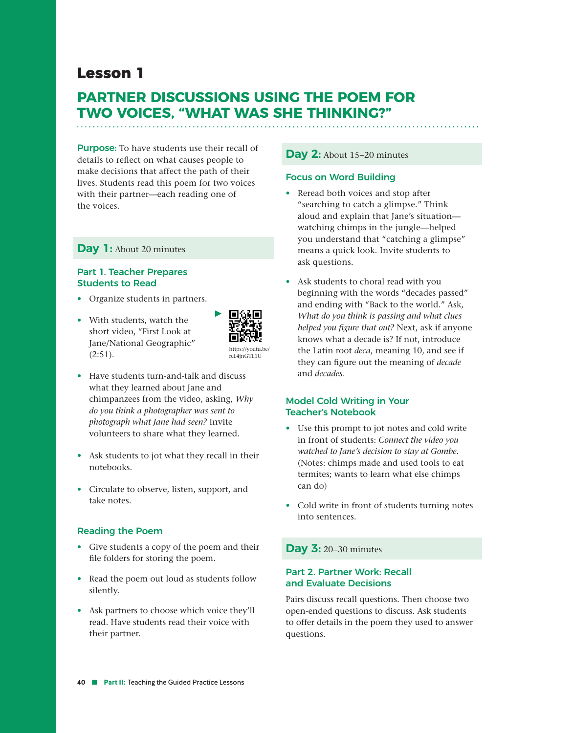# **Lesson 1**

# **PARTNER DISCUSSIONS USING THE POEM FOR TWO VOICES, "WHAT WAS SHE THINKING?"**

Purpose: To have students use their recall of details to reflect on what causes people to make decisions that affect the path of their lives. Students read this poem for two voices with their partner—each reading one of the voices.

## **Day 1:** About 20 minutes

## Part 1. Teacher Prepares Students to Read

- Organize students in partners.
- With students, watch the short video, "First Look at Jane/National Geographic"  $(2:51).$



• Have students turn-and-talk and discuss what they learned about Jane and chimpanzees from the video, asking, *Why do you think a photographer was sent to photograph what Jane had seen?* Invite volunteers to share what they learned.

- Ask students to jot what they recall in their notebooks.
- Circulate to observe, listen, support, and take notes.

## Reading the Poem

- Give students a copy of the poem and their file folders for storing the poem.
- Read the poem out loud as students follow silently.
- Ask partners to choose which voice they'll read. Have students read their voice with their partner.

## **Day 2:** About 15−20 minutes

## Focus on Word Building

- Reread both voices and stop after "searching to catch a glimpse." Think aloud and explain that Jane's situation watching chimps in the jungle—helped you understand that "catching a glimpse" means a quick look. Invite students to ask questions.
- Ask students to choral read with you beginning with the words "decades passed" and ending with "Back to the world." Ask, *What do you think is passing and what clues helped you figure that out?* Next, ask if anyone knows what a decade is? If not, introduce the Latin root *deca*, meaning 10, and see if they can figure out the meaning of *decade* and *decades*.

## Model Cold Writing in Your Teacher's Notebook

- Use this prompt to jot notes and cold write in front of students: *Connect the video you watched to Jane's decision to stay at Gombe.*  (Notes: chimps made and used tools to eat termites; wants to learn what else chimps can do)
- Cold write in front of students turning notes into sentences.

## **Day 3:** 20−30 minutes

## Part 2. Partner Work: Recall and Evaluate Decisions

Pairs discuss recall questions. Then choose two open-ended questions to discuss. Ask students to offer details in the poem they used to answer questions.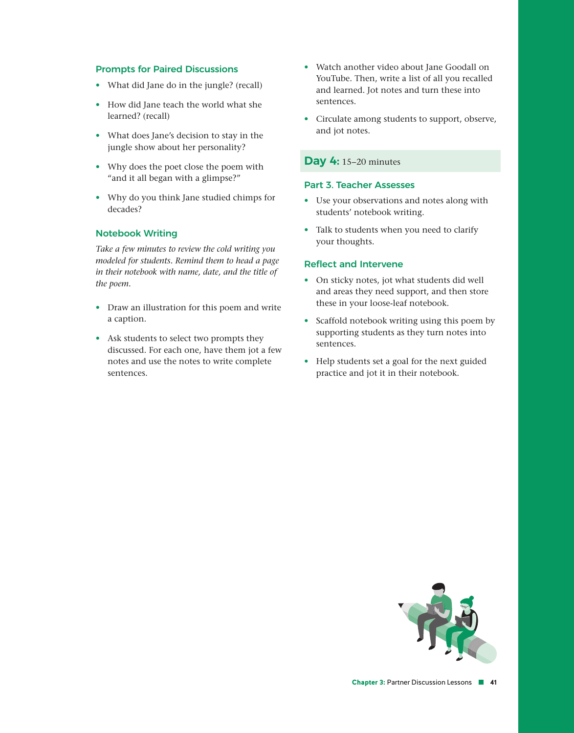#### Prompts for Paired Discussions

- What did Jane do in the jungle? (recall)
- How did Jane teach the world what she learned? (recall)
- What does Jane's decision to stay in the jungle show about her personality?
- Why does the poet close the poem with "and it all began with a glimpse?"
- Why do you think Jane studied chimps for decades?

#### Notebook Writing

*Take a few minutes to review the cold writing you modeled for students. Remind them to head a page in their notebook with name, date, and the title of the poem.*

- Draw an illustration for this poem and write a caption.
- Ask students to select two prompts they discussed. For each one, have them jot a few notes and use the notes to write complete sentences.
- Watch another video about Jane Goodall on YouTube. Then, write a list of all you recalled and learned. Jot notes and turn these into sentences.
- Circulate among students to support, observe, and jot notes.

### **Day 4:** 15−20 minutes

### Part 3. Teacher Assesses

- Use your observations and notes along with students' notebook writing.
- Talk to students when you need to clarify your thoughts.

#### Reflect and Intervene

- On sticky notes, jot what students did well and areas they need support, and then store these in your loose-leaf notebook.
- Scaffold notebook writing using this poem by supporting students as they turn notes into sentences.
- Help students set a goal for the next guided practice and jot it in their notebook.